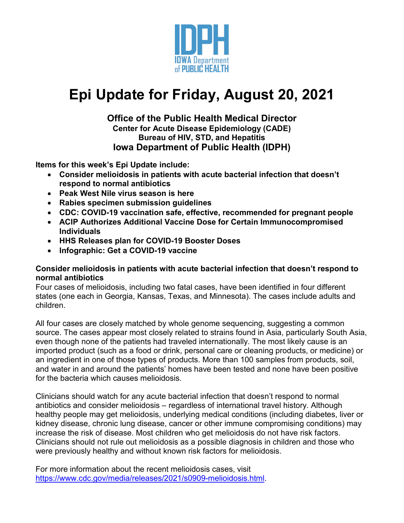

# **Epi Update for Friday, August 20, 2021**

# **Office of the Public Health Medical Director Center for Acute Disease Epidemiology (CADE) Bureau of HIV, STD, and Hepatitis Iowa Department of Public Health (IDPH)**

**Items for this week's Epi Update include:**

- **Consider melioidosis in patients with acute bacterial infection that doesn't respond to normal antibiotics**
- **Peak West Nile virus season is here**
- **Rabies specimen submission guidelines**
- **CDC: COVID-19 vaccination safe, effective, recommended for pregnant people**
- **ACIP Authorizes Additional Vaccine Dose for Certain Immunocompromised Individuals**
- **HHS Releases plan for COVID-19 Booster Doses**
- **Infographic: Get a COVID-19 vaccine**

#### **Consider melioidosis in patients with acute bacterial infection that doesn't respond to normal antibiotics**

Four cases of melioidosis, including two fatal cases, have been identified in four different states (one each in Georgia, Kansas, Texas, and Minnesota). The cases include adults and children.

All four cases are closely matched by whole genome sequencing, suggesting a common source. The cases appear most closely related to strains found in Asia, particularly South Asia, even though none of the patients had traveled internationally. The most likely cause is an imported product (such as a food or drink, personal care or cleaning products, or medicine) or an ingredient in one of those types of products. More than 100 samples from products, soil, and water in and around the patients' homes have been tested and none have been positive for the bacteria which causes melioidosis.

Clinicians should watch for any acute bacterial infection that doesn't respond to normal antibiotics and consider melioidosis – regardless of international travel history. Although healthy people may get melioidosis, underlying medical conditions (including diabetes, liver or kidney disease, chronic lung disease, cancer or other immune compromising conditions) may increase the risk of disease. Most children who get melioidosis do not have risk factors. Clinicians should not rule out melioidosis as a possible diagnosis in children and those who were previously healthy and without known risk factors for melioidosis.

For more information about the recent melioidosis cases, visit [https://www.cdc.gov/media/releases/2021/s0909-melioidosis.html.](https://www.cdc.gov/media/releases/2021/s0909-melioidosis.html)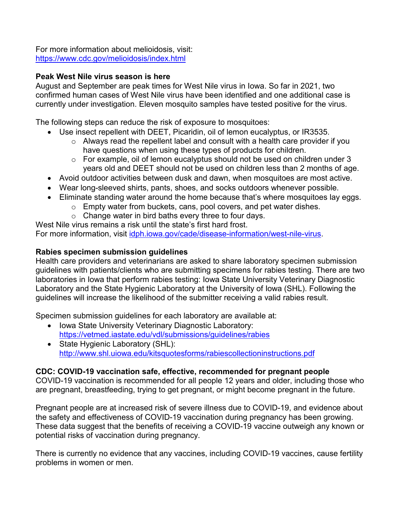For more information about melioidosis, visit: <https://www.cdc.gov/melioidosis/index.html>

## **Peak West Nile virus season is here**

August and September are peak times for West Nile virus in Iowa. So far in 2021, two confirmed human cases of West Nile virus have been identified and one additional case is currently under investigation. Eleven mosquito samples have tested positive for the virus.

The following steps can reduce the risk of exposure to mosquitoes:

- Use insect repellent with DEET, Picaridin, oil of lemon eucalyptus, or IR3535.
	- $\circ$  Always read the repellent label and consult with a health care provider if you have questions when using these types of products for children.
	- o For example, oil of lemon eucalyptus should not be used on children under 3 years old and DEET should not be used on children less than 2 months of age.
- Avoid outdoor activities between dusk and dawn, when mosquitoes are most active.
- Wear long-sleeved shirts, pants, shoes, and socks outdoors whenever possible.
- Eliminate standing water around the home because that's where mosquitoes lay eggs.
	- o Empty water from buckets, cans, pool covers, and pet water dishes.
	- $\circ$  Change water in bird baths every three to four days.

West Nile virus remains a risk until the state's first hard frost. For more information, visit [idph.iowa.gov/cade/disease-information/west-nile-virus.](https://idph.iowa.gov/cade/disease-information/west-nile-virus)

#### **Rabies specimen submission guidelines**

Health care providers and veterinarians are asked to share laboratory specimen submission guidelines with patients/clients who are submitting specimens for rabies testing. There are two laboratories in Iowa that perform rabies testing: Iowa State University Veterinary Diagnostic Laboratory and the State Hygienic Laboratory at the University of Iowa (SHL). Following the guidelines will increase the likelihood of the submitter receiving a valid rabies result.

Specimen submission guidelines for each laboratory are available at:

- Iowa State University Veterinary Diagnostic Laboratory: <https://vetmed.iastate.edu/vdl/submissions/guidelines/rabies>
- State Hygienic Laboratory (SHL): <http://www.shl.uiowa.edu/kitsquotesforms/rabiescollectioninstructions.pdf>

#### **CDC: COVID-19 vaccination safe, effective, recommended for pregnant people**

COVID-19 vaccination is recommended for all people 12 years and older, including those who are pregnant, breastfeeding, trying to get pregnant, or might become pregnant in the future.

Pregnant people are at increased risk of severe illness due to COVID-19, and evidence about the safety and effectiveness of COVID-19 vaccination during pregnancy has been growing. These data suggest that the benefits of receiving a COVID-19 vaccine outweigh any known or potential risks of vaccination during pregnancy.

There is currently no evidence that any vaccines, including COVID-19 vaccines, cause fertility problems in women or men.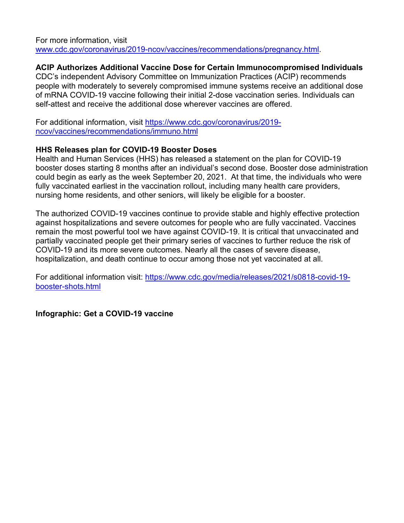For more information, visit [www.cdc.gov/coronavirus/2019-ncov/vaccines/recommendations/pregnancy.html.](http://www.cdc.gov/coronavirus/2019-ncov/vaccines/recommendations/pregnancy.html)

# **ACIP Authorizes Additional Vaccine Dose for Certain Immunocompromised Individuals**

CDC's independent Advisory Committee on Immunization Practices (ACIP) recommends people with moderately to severely compromised immune systems receive an additional dose of mRNA COVID-19 vaccine following their initial 2-dose vaccination series. Individuals can self-attest and receive the additional dose wherever vaccines are offered.

For additional information, visit [https://www.cdc.gov/coronavirus/2019](https://www.cdc.gov/coronavirus/2019-ncov/vaccines/recommendations/immuno.html) [ncov/vaccines/recommendations/immuno.html](https://www.cdc.gov/coronavirus/2019-ncov/vaccines/recommendations/immuno.html)

#### **HHS Releases plan for COVID-19 Booster Doses**

Health and Human Services (HHS) has released a statement on the plan for COVID-19 booster doses starting 8 months after an individual's second dose. Booster dose administration could begin as early as the week September 20, 2021. At that time, the individuals who were fully vaccinated earliest in the vaccination rollout, including many health care providers, nursing home residents, and other seniors, will likely be eligible for a booster.

The authorized COVID-19 vaccines continue to provide stable and highly effective protection against hospitalizations and severe outcomes for people who are fully vaccinated. Vaccines remain the most powerful tool we have against COVID-19. It is critical that unvaccinated and partially vaccinated people get their primary series of vaccines to further reduce the risk of COVID-19 and its more severe outcomes. Nearly all the cases of severe disease, hospitalization, and death continue to occur among those not yet vaccinated at all.

For additional information visit: [https://www.cdc.gov/media/releases/2021/s0818-covid-19](https://www.cdc.gov/media/releases/2021/s0818-covid-19-booster-shots.html) [booster-shots.html](https://www.cdc.gov/media/releases/2021/s0818-covid-19-booster-shots.html)

**Infographic: Get a COVID-19 vaccine**